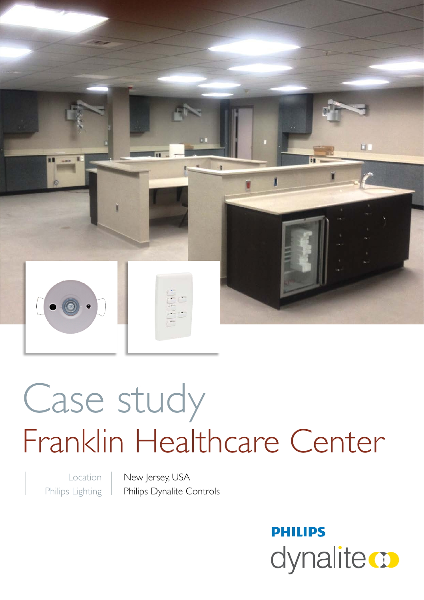

# Case study Franklin Healthcare Center

Location Philips Lighting New Jersey, USA Philips Dynalite Controls

> **PHILIPS** dynalite **o**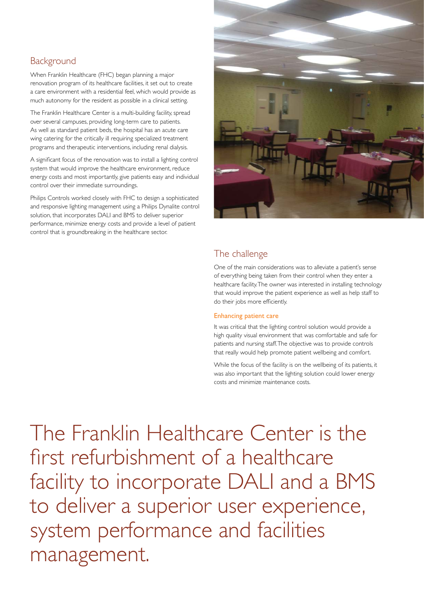## **Background**

When Franklin Healthcare (FHC) began planning a major renovation program of its healthcare facilities, it set out to create a care environment with a residential feel, which would provide as much autonomy for the resident as possible in a clinical setting.

The Franklin Healthcare Center is a multi-building facility, spread over several campuses, providing long-term care to patients. As well as standard patient beds, the hospital has an acute care wing catering for the critically ill requiring specialized treatment programs and therapeutic interventions, including renal dialysis.

A significant focus of the renovation was to install a lighting control system that would improve the healthcare environment, reduce energy costs and most importantly, give patients easy and individual control over their immediate surroundings.

Philips Controls worked closely with FHC to design a sophisticated and responsive lighting management using a Philips Dynalite control solution, that incorporates DALI and BMS to deliver superior performance, minimize energy costs and provide a level of patient control that is groundbreaking in the healthcare sector.



## The challenge

One of the main considerations was to alleviate a patient's sense of everything being taken from their control when they enter a healthcare facility. The owner was interested in installing technology that would improve the patient experience as well as help staff to do their jobs more efficiently.

#### Enhancing patient care

It was critical that the lighting control solution would provide a high quality visual environment that was comfortable and safe for patients and nursing staff. The objective was to provide controls that really would help promote patient wellbeing and comfort.

While the focus of the facility is on the wellbeing of its patients, it was also important that the lighting solution could lower energy costs and minimize maintenance costs.

The Franklin Healthcare Center is the first refurbishment of a healthcare facility to incorporate DALI and a BMS to deliver a superior user experience, system performance and facilities management.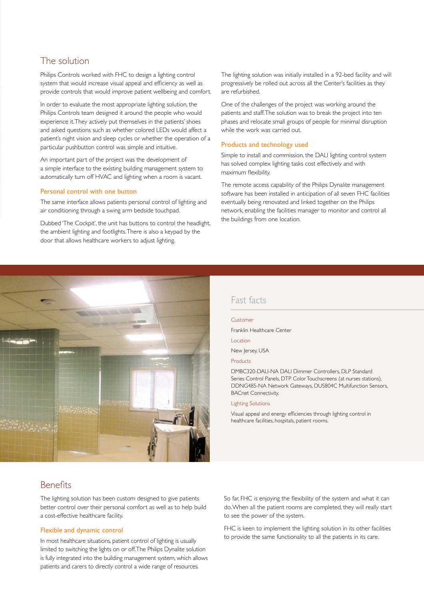## The solution

Philips Controls worked with FHC to design a lighting control system that would increase visual appeal and efficiency as well as provide controls that would improve patient wellbeing and comfort.

In order to evaluate the most appropriate lighting solution, the Philips Controls team designed it around the people who would experience it. They actively put themselves in the patients' shoes and asked questions such as whether colored LEDs would affect a patient's night vision and sleep cycles or whether the operation of a particular pushbutton control was simple and intuitive.

An important part of the project was the development of a simple interface to the existing building management system to automatically turn off HVAC and lighting when a room is vacant.

#### Personal control with one button

The same interface allows patients personal control of lighting and air conditioning through a swing arm bedside touchpad.

Dubbed 'The Cockpit', the unit has buttons to control the headlight, the ambient lighting and footlights. There is also a keypad by the door that allows healthcare workers to adjust lighting.

The lighting solution was initially installed in a 92-bed facility and will progressively be rolled out across all the Center's facilities as they are refurbished.

One of the challenges of the project was working around the patients and staff. The solution was to break the project into ten phases and relocate small groups of people for minimal disruption while the work was carried out.

#### Products and technology used

Simple to install and commission, the DALI lighting control system has solved complex lighting tasks cost effectively and with maximum flexibility.

The remote access capability of the Philips Dynalite management software has been installed in anticipation of all seven FHC facilities eventually being renovated and linked together on the Philips network, enabling the facilities manager to monitor and control all the buildings from one location.



## Fast facts

#### Customer

Franklin Healthcare Center

Location

New Jersey, USA

Products

DMBC320-DALI-NA DALI Dimmer Controllers, DLP Standard Series Control Panels, DTP Color Touchscreens (at nurses stations), DDNG485-NA Network Gateways, DUS804C Multifunction Sensors, BACnet Connectivity.

### Lighting Solutions

Visual appeal and energy efficiencies through lighting control in healthcare facilities, hospitals, patient rooms.

## **Benefits**

The lighting solution has been custom designed to give patients better control over their personal comfort as well as to help build a cost-effective healthcare facility.

#### Flexible and dynamic control

In most healthcare situations, patient control of lighting is usually limited to switching the lights on or off. The Philips Dynalite solution is fully integrated into the building management system, which allows patients and carers to directly control a wide range of resources.

So far, FHC is enjoying the flexibility of the system and what it can do. When all the patient rooms are completed, they will really start to see the power of the system.

FHC is keen to implement the lighting solution in its other facilities to provide the same functionality to all the patients in its care.